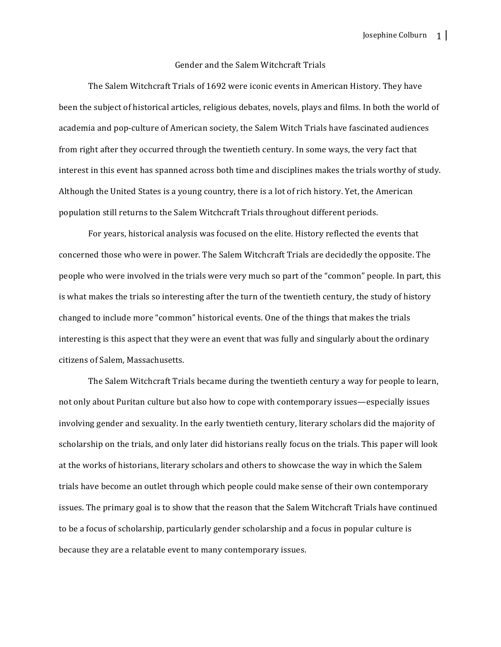## Gender and the Salem Witchcraft Trials

The Salem Witchcraft Trials of 1692 were iconic events in American History. They have been the subject of historical articles, religious debates, novels, plays and films. In both the world of academia and pop-culture of American society, the Salem Witch Trials have fascinated audiences from right after they occurred through the twentieth century. In some ways, the very fact that interest in this event has spanned across both time and disciplines makes the trials worthy of study. Although the United States is a young country, there is a lot of rich history. Yet, the American population still returns to the Salem Witchcraft Trials throughout different periods.

For years, historical analysis was focused on the elite. History reflected the events that concerned those who were in power. The Salem Witchcraft Trials are decidedly the opposite. The people who were involved in the trials were very much so part of the "common" people. In part, this is what makes the trials so interesting after the turn of the twentieth century, the study of history changed to include more "common" historical events. One of the things that makes the trials interesting is this aspect that they were an event that was fully and singularly about the ordinary citizens of Salem, Massachusetts. 

The Salem Witchcraft Trials became during the twentieth century a way for people to learn, not only about Puritan culture but also how to cope with contemporary issues—especially issues involving gender and sexuality. In the early twentieth century, literary scholars did the majority of scholarship on the trials, and only later did historians really focus on the trials. This paper will look at the works of historians, literary scholars and others to showcase the way in which the Salem trials have become an outlet through which people could make sense of their own contemporary issues. The primary goal is to show that the reason that the Salem Witchcraft Trials have continued to be a focus of scholarship, particularly gender scholarship and a focus in popular culture is because they are a relatable event to many contemporary issues.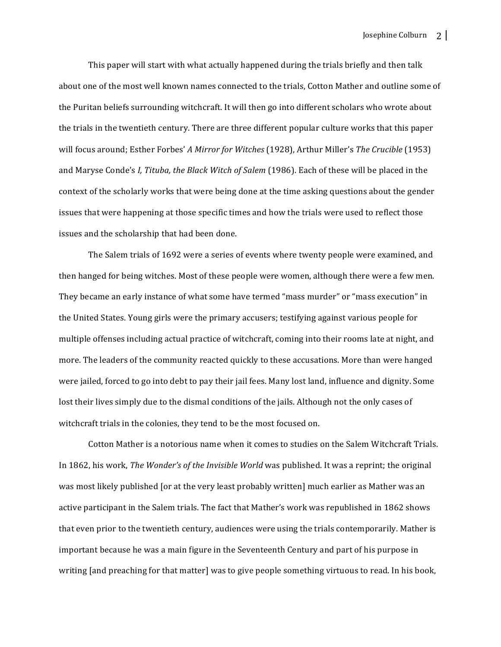This paper will start with what actually happened during the trials briefly and then talk about one of the most well known names connected to the trials, Cotton Mather and outline some of the Puritan beliefs surrounding witchcraft. It will then go into different scholars who wrote about the trials in the twentieth century. There are three different popular culture works that this paper will focus around; Esther Forbes' *A Mirror for Witches* (1928), Arthur Miller's *The Crucible* (1953) and Maryse Conde's *I, Tituba, the Black Witch of Salem* (1986). Each of these will be placed in the context of the scholarly works that were being done at the time asking questions about the gender issues that were happening at those specific times and how the trials were used to reflect those issues and the scholarship that had been done.

The Salem trials of 1692 were a series of events where twenty people were examined, and then hanged for being witches. Most of these people were women, although there were a few men. They became an early instance of what some have termed "mass murder" or "mass execution" in the United States. Young girls were the primary accusers; testifying against various people for multiple offenses including actual practice of witchcraft, coming into their rooms late at night, and more. The leaders of the community reacted quickly to these accusations. More than were hanged were jailed, forced to go into debt to pay their jail fees. Many lost land, influence and dignity. Some lost their lives simply due to the dismal conditions of the jails. Although not the only cases of witchcraft trials in the colonies, they tend to be the most focused on.

Cotton Mather is a notorious name when it comes to studies on the Salem Witchcraft Trials. In 1862, his work, *The Wonder's of the Invisible World* was published. It was a reprint; the original was most likely published [or at the very least probably written] much earlier as Mather was an active participant in the Salem trials. The fact that Mather's work was republished in 1862 shows that even prior to the twentieth century, audiences were using the trials contemporarily. Mather is important because he was a main figure in the Seventeenth Century and part of his purpose in writing [and preaching for that matter] was to give people something virtuous to read. In his book,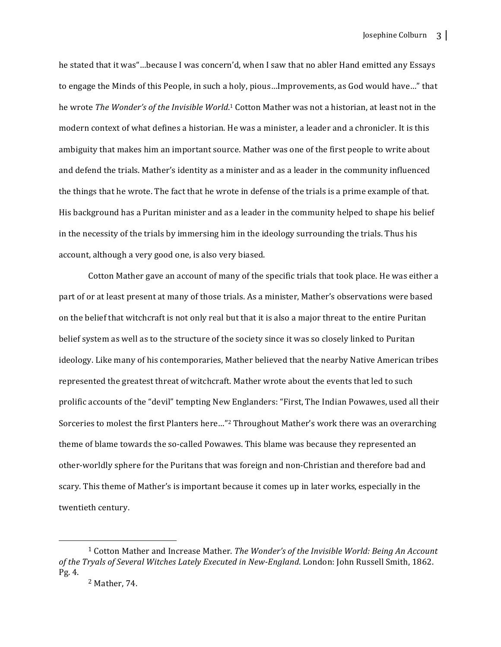he stated that it was"...because I was concern'd, when I saw that no abler Hand emitted any Essays to engage the Minds of this People, in such a holy, pious...Improvements, as God would have..." that he wrote *The Wonder's of the Invisible World*.<sup>1</sup> Cotton Mather was not a historian, at least not in the modern context of what defines a historian. He was a minister, a leader and a chronicler. It is this ambiguity that makes him an important source. Mather was one of the first people to write about and defend the trials. Mather's identity as a minister and as a leader in the community influenced the things that he wrote. The fact that he wrote in defense of the trials is a prime example of that. His background has a Puritan minister and as a leader in the community helped to shape his belief in the necessity of the trials by immersing him in the ideology surrounding the trials. Thus his account, although a very good one, is also very biased.

Cotton Mather gave an account of many of the specific trials that took place. He was either a part of or at least present at many of those trials. As a minister, Mather's observations were based on the belief that witchcraft is not only real but that it is also a major threat to the entire Puritan belief system as well as to the structure of the society since it was so closely linked to Puritan ideology. Like many of his contemporaries, Mather believed that the nearby Native American tribes represented the greatest threat of witchcraft. Mather wrote about the events that led to such prolific accounts of the "devil" tempting New Englanders: "First, The Indian Powawes, used all their Sorceries to molest the first Planters here..."<sup>2</sup> Throughout Mather's work there was an overarching theme of blame towards the so-called Powawes. This blame was because they represented an other-worldly sphere for the Puritans that was foreign and non-Christian and therefore bad and scary. This theme of Mather's is important because it comes up in later works, especially in the twentieth century.

<sup>&</sup>lt;sup>1</sup> Cotton Mather and Increase Mather. *The Wonder's of the Invisible World: Being An Account* of the Tryals of Several Witches Lately Executed in New-England. London: John Russell Smith, 1862. Pg. 4.

 $2$  Mather, 74.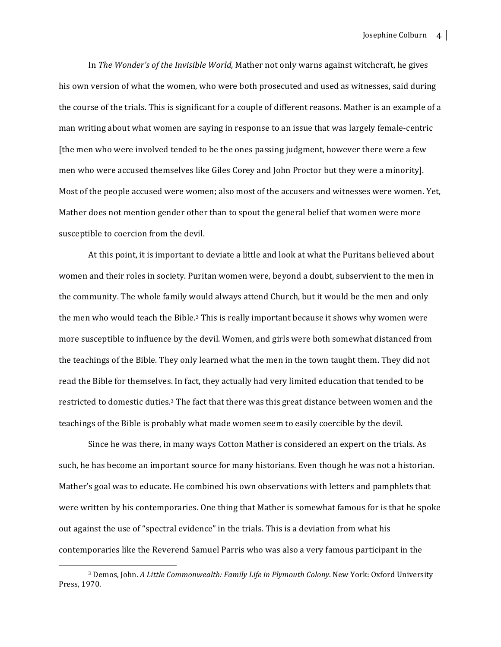In *The Wonder's of the Invisible World*, Mather not only warns against witchcraft, he gives his own version of what the women, who were both prosecuted and used as witnesses, said during the course of the trials. This is significant for a couple of different reasons. Mather is an example of a man writing about what women are saying in response to an issue that was largely female-centric [the men who were involved tended to be the ones passing judgment, however there were a few men who were accused themselves like Giles Corey and John Proctor but they were a minority]. Most of the people accused were women; also most of the accusers and witnesses were women. Yet, Mather does not mention gender other than to spout the general belief that women were more susceptible to coercion from the devil.

At this point, it is important to deviate a little and look at what the Puritans believed about women and their roles in society. Puritan women were, beyond a doubt, subservient to the men in the community. The whole family would always attend Church, but it would be the men and only the men who would teach the Bible.<sup>3</sup> This is really important because it shows why women were more susceptible to influence by the devil. Women, and girls were both somewhat distanced from the teachings of the Bible. They only learned what the men in the town taught them. They did not read the Bible for themselves. In fact, they actually had very limited education that tended to be restricted to domestic duties.<sup>3</sup> The fact that there was this great distance between women and the teachings of the Bible is probably what made women seem to easily coercible by the devil.

Since he was there, in many ways Cotton Mather is considered an expert on the trials. As such, he has become an important source for many historians. Even though he was not a historian. Mather's goal was to educate. He combined his own observations with letters and pamphlets that were written by his contemporaries. One thing that Mather is somewhat famous for is that he spoke out against the use of "spectral evidence" in the trials. This is a deviation from what his contemporaries like the Reverend Samuel Parris who was also a very famous participant in the

<sup>&</sup>lt;sup>3</sup> Demos, John. *A Little Commonwealth: Family Life in Plymouth Colony*. New York: Oxford University Press, 1970.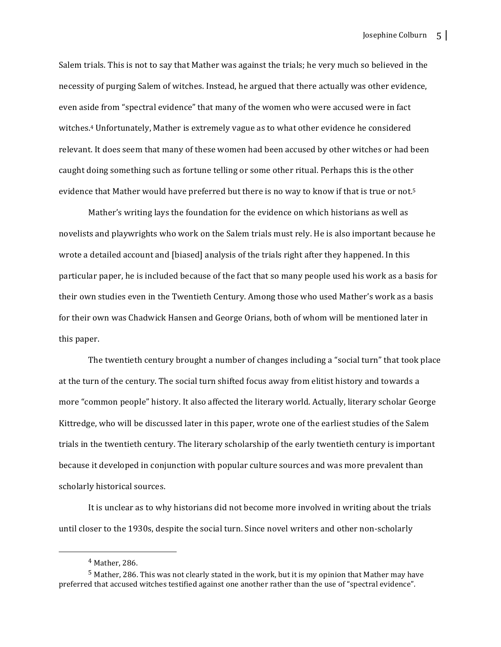Salem trials. This is not to say that Mather was against the trials; he very much so believed in the necessity of purging Salem of witches. Instead, he argued that there actually was other evidence, even aside from "spectral evidence" that many of the women who were accused were in fact witches.<sup>4</sup> Unfortunately, Mather is extremely vague as to what other evidence he considered relevant. It does seem that many of these women had been accused by other witches or had been caught doing something such as fortune telling or some other ritual. Perhaps this is the other evidence that Mather would have preferred but there is no way to know if that is true or not.<sup>5</sup>

Mather's writing lays the foundation for the evidence on which historians as well as novelists and playwrights who work on the Salem trials must rely. He is also important because he wrote a detailed account and [biased] analysis of the trials right after they happened. In this particular paper, he is included because of the fact that so many people used his work as a basis for their own studies even in the Twentieth Century. Among those who used Mather's work as a basis for their own was Chadwick Hansen and George Orians, both of whom will be mentioned later in this paper.

The twentieth century brought a number of changes including a "social turn" that took place at the turn of the century. The social turn shifted focus away from elitist history and towards a more "common people" history. It also affected the literary world. Actually, literary scholar George Kittredge, who will be discussed later in this paper, wrote one of the earliest studies of the Salem trials in the twentieth century. The literary scholarship of the early twentieth century is important because it developed in conjunction with popular culture sources and was more prevalent than scholarly historical sources.

It is unclear as to why historians did not become more involved in writing about the trials until closer to the 1930s, despite the social turn. Since novel writers and other non-scholarly

  $4$  Mather, 286.

 $5$  Mather, 286. This was not clearly stated in the work, but it is my opinion that Mather may have preferred that accused witches testified against one another rather than the use of "spectral evidence".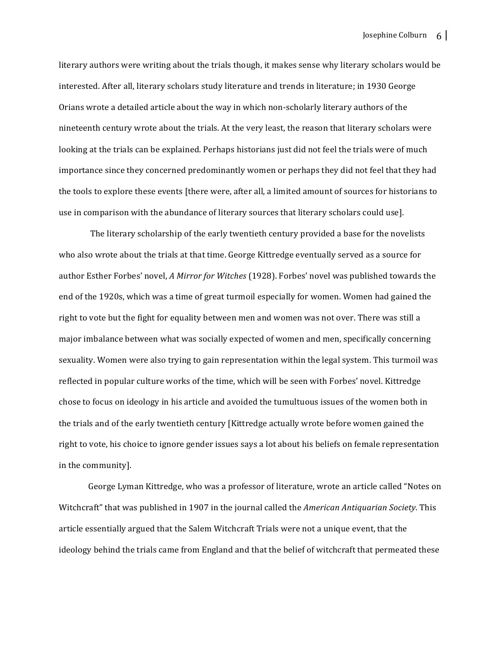literary authors were writing about the trials though, it makes sense why literary scholars would be interested. After all, literary scholars study literature and trends in literature; in 1930 George Orians wrote a detailed article about the way in which non-scholarly literary authors of the nineteenth century wrote about the trials. At the very least, the reason that literary scholars were looking at the trials can be explained. Perhaps historians just did not feel the trials were of much importance since they concerned predominantly women or perhaps they did not feel that they had the tools to explore these events [there were, after all, a limited amount of sources for historians to use in comparison with the abundance of literary sources that literary scholars could use].

The literary scholarship of the early twentieth century provided a base for the novelists who also wrote about the trials at that time. George Kittredge eventually served as a source for author Esther Forbes' novel, *A Mirror for Witches* (1928). Forbes' novel was published towards the end of the 1920s, which was a time of great turmoil especially for women. Women had gained the right to vote but the fight for equality between men and women was not over. There was still a major imbalance between what was socially expected of women and men, specifically concerning sexuality. Women were also trying to gain representation within the legal system. This turmoil was reflected in popular culture works of the time, which will be seen with Forbes' novel. Kittredge chose to focus on ideology in his article and avoided the tumultuous issues of the women both in the trials and of the early twentieth century [Kittredge actually wrote before women gained the right to vote, his choice to ignore gender issues says a lot about his beliefs on female representation in the community].

George Lyman Kittredge, who was a professor of literature, wrote an article called "Notes on Witchcraft" that was published in 1907 in the journal called the *American Antiquarian Society*. This article essentially argued that the Salem Witchcraft Trials were not a unique event, that the ideology behind the trials came from England and that the belief of witchcraft that permeated these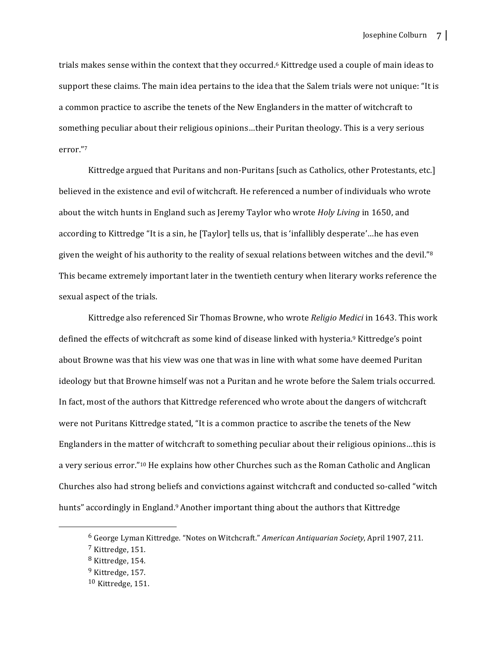trials makes sense within the context that they occurred.<sup>6</sup> Kittredge used a couple of main ideas to support these claims. The main idea pertains to the idea that the Salem trials were not unique: "It is a common practice to ascribe the tenets of the New Englanders in the matter of witchcraft to something peculiar about their religious opinions...their Puritan theology. This is a very serious error."7

Kittredge argued that Puritans and non-Puritans [such as Catholics, other Protestants, etc.] believed in the existence and evil of witchcraft. He referenced a number of individuals who wrote about the witch hunts in England such as Jeremy Taylor who wrote *Holy Living* in 1650, and according to Kittredge "It is a sin, he [Taylor] tells us, that is 'infallibly desperate'...he has even given the weight of his authority to the reality of sexual relations between witches and the devil." $\frac{8}{3}$ This became extremely important later in the twentieth century when literary works reference the sexual aspect of the trials.

Kittredge also referenced Sir Thomas Browne, who wrote *Religio Medici* in 1643. This work defined the effects of witchcraft as some kind of disease linked with hysteria.<sup>9</sup> Kittredge's point about Browne was that his view was one that was in line with what some have deemed Puritan ideology but that Browne himself was not a Puritan and he wrote before the Salem trials occurred. In fact, most of the authors that Kittredge referenced who wrote about the dangers of witchcraft were not Puritans Kittredge stated, "It is a common practice to ascribe the tenets of the New Englanders in the matter of witchcraft to something peculiar about their religious opinions...this is a very serious error."<sup>10</sup> He explains how other Churches such as the Roman Catholic and Anglican Churches also had strong beliefs and convictions against witchcraft and conducted so-called "witch" hunts" accordingly in England.<sup>9</sup> Another important thing about the authors that Kittredge

<sup>&</sup>lt;sup>6</sup> George Lyman Kittredge. "Notes on Witchcraft." *American Antiquarian Society*, April 1907, 211.  $<sup>7</sup>$  Kittredge, 151.</sup>

 $8$  Kittredge, 154.  $9$  Kittredge, 157.

 $10$  Kittredge, 151.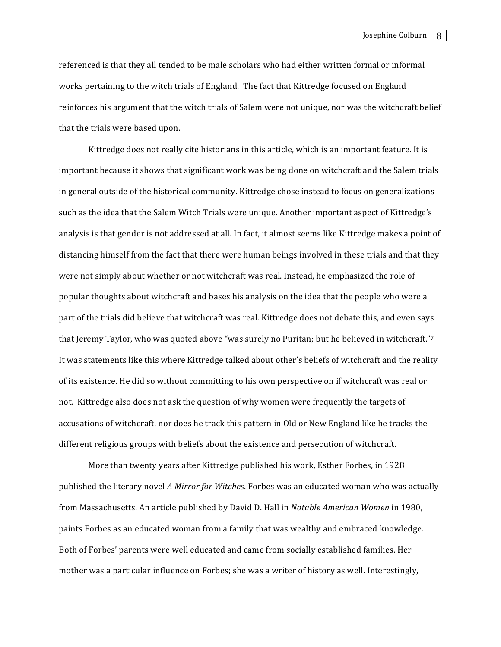referenced is that they all tended to be male scholars who had either written formal or informal works pertaining to the witch trials of England. The fact that Kittredge focused on England reinforces his argument that the witch trials of Salem were not unique, nor was the witchcraft belief that the trials were based upon.

Kittredge does not really cite historians in this article, which is an important feature. It is important because it shows that significant work was being done on witchcraft and the Salem trials in general outside of the historical community. Kittredge chose instead to focus on generalizations such as the idea that the Salem Witch Trials were unique. Another important aspect of Kittredge's analysis is that gender is not addressed at all. In fact, it almost seems like Kittredge makes a point of distancing himself from the fact that there were human beings involved in these trials and that they were not simply about whether or not witchcraft was real. Instead, he emphasized the role of popular thoughts about witchcraft and bases his analysis on the idea that the people who were a part of the trials did believe that witchcraft was real. Kittredge does not debate this, and even says that Jeremy Taylor, who was quoted above "was surely no Puritan; but he believed in witchcraft."7 It was statements like this where Kittredge talked about other's beliefs of witchcraft and the reality of its existence. He did so without committing to his own perspective on if witchcraft was real or not. Kittredge also does not ask the question of why women were frequently the targets of accusations of witchcraft, nor does he track this pattern in Old or New England like he tracks the different religious groups with beliefs about the existence and persecution of witchcraft.

More than twenty years after Kittredge published his work, Esther Forbes, in 1928 published the literary novel *A Mirror for Witches*. Forbes was an educated woman who was actually from Massachusetts. An article published by David D. Hall in *Notable American Women* in 1980, paints Forbes as an educated woman from a family that was wealthy and embraced knowledge. Both of Forbes' parents were well educated and came from socially established families. Her mother was a particular influence on Forbes; she was a writer of history as well. Interestingly,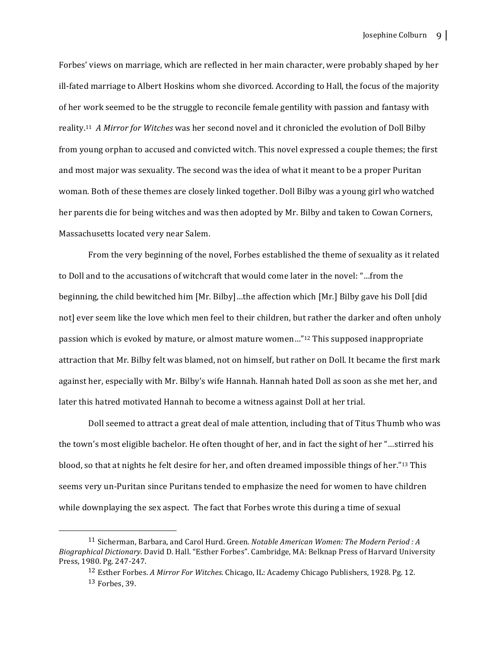Forbes' views on marriage, which are reflected in her main character, were probably shaped by her ill-fated marriage to Albert Hoskins whom she divorced. According to Hall, the focus of the majority of her work seemed to be the struggle to reconcile female gentility with passion and fantasy with reality.<sup>11</sup> *A Mirror for Witches* was her second novel and it chronicled the evolution of Doll Bilby from young orphan to accused and convicted witch. This novel expressed a couple themes; the first and most major was sexuality. The second was the idea of what it meant to be a proper Puritan woman. Both of these themes are closely linked together. Doll Bilby was a young girl who watched her parents die for being witches and was then adopted by Mr. Bilby and taken to Cowan Corners, Massachusetts located very near Salem.

From the very beginning of the novel, Forbes established the theme of sexuality as it related to Doll and to the accusations of witchcraft that would come later in the novel: "...from the beginning, the child bewitched him [Mr. Bilby]...the affection which [Mr.] Bilby gave his Doll [did not] ever seem like the love which men feel to their children, but rather the darker and often unholy passion which is evoked by mature, or almost mature women..."<sup>12</sup> This supposed inappropriate attraction that Mr. Bilby felt was blamed, not on himself, but rather on Doll. It became the first mark against her, especially with Mr. Bilby's wife Hannah. Hannah hated Doll as soon as she met her, and later this hatred motivated Hannah to become a witness against Doll at her trial.

Doll seemed to attract a great deal of male attention, including that of Titus Thumb who was the town's most eligible bachelor. He often thought of her, and in fact the sight of her "...stirred his blood, so that at nights he felt desire for her, and often dreamed impossible things of her."<sup>13</sup> This seems very un-Puritan since Puritans tended to emphasize the need for women to have children while downplaying the sex aspect. The fact that Forbes wrote this during a time of sexual

<sup>&</sup>lt;sup>11</sup> Sicherman, Barbara, and Carol Hurd. Green. *Notable American Women: The Modern Period: A Biographical Dictionary*. David D. Hall. "Esther Forbes". Cambridge, MA: Belknap Press of Harvard University Press, 1980. Pg. 247-247.

<sup>&</sup>lt;sup>12</sup> Esther Forbes. *A Mirror For Witches*. Chicago, IL: Academy Chicago Publishers, 1928. Pg. 12.  $13$  Forbes, 39.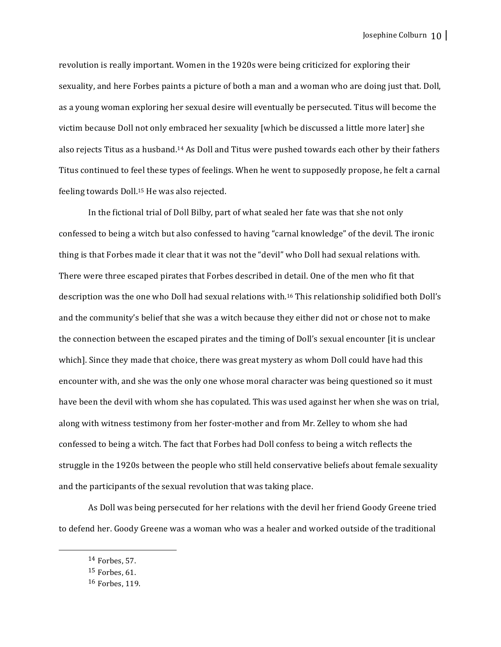revolution is really important. Women in the 1920s were being criticized for exploring their sexuality, and here Forbes paints a picture of both a man and a woman who are doing just that. Doll, as a young woman exploring her sexual desire will eventually be persecuted. Titus will become the victim because Doll not only embraced her sexuality [which be discussed a little more later] she also rejects Titus as a husband.<sup>14</sup> As Doll and Titus were pushed towards each other by their fathers Titus continued to feel these types of feelings. When he went to supposedly propose, he felt a carnal feeling towards Doll.<sup>15</sup> He was also rejected.

In the fictional trial of Doll Bilby, part of what sealed her fate was that she not only confessed to being a witch but also confessed to having "carnal knowledge" of the devil. The ironic thing is that Forbes made it clear that it was not the "devil" who Doll had sexual relations with. There were three escaped pirates that Forbes described in detail. One of the men who fit that description was the one who Doll had sexual relations with.<sup>16</sup> This relationship solidified both Doll's and the community's belief that she was a witch because they either did not or chose not to make the connection between the escaped pirates and the timing of Doll's sexual encounter [it is unclear which]. Since they made that choice, there was great mystery as whom Doll could have had this encounter with, and she was the only one whose moral character was being questioned so it must have been the devil with whom she has copulated. This was used against her when she was on trial, along with witness testimony from her foster-mother and from Mr. Zelley to whom she had confessed to being a witch. The fact that Forbes had Doll confess to being a witch reflects the struggle in the 1920s between the people who still held conservative beliefs about female sexuality and the participants of the sexual revolution that was taking place.

As Doll was being persecuted for her relations with the devil her friend Goody Greene tried to defend her. Goody Greene was a woman who was a healer and worked outside of the traditional

  $14$  Forbes, 57.

 $15$  Forbes, 61.

<sup>16</sup> Forbes, 119.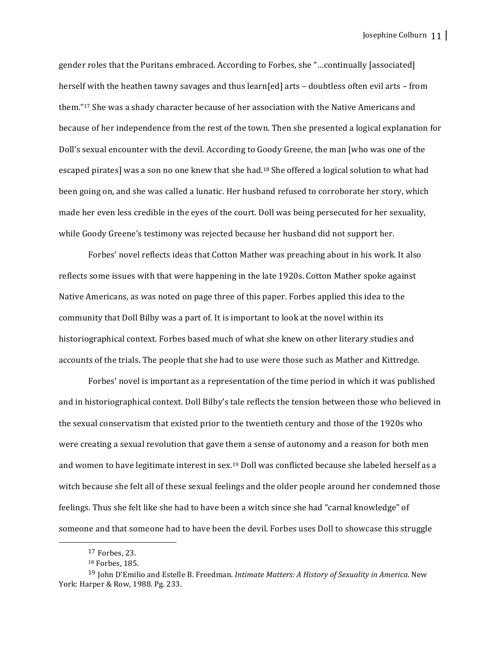gender roles that the Puritans embraced. According to Forbes, she "...continually [associated] herself with the heathen tawny savages and thus  $\text{learn}[\text{ed}]$  arts – doubtless often evil arts – from them."<sup>17</sup> She was a shady character because of her association with the Native Americans and because of her independence from the rest of the town. Then she presented a logical explanation for Doll's sexual encounter with the devil. According to Goody Greene, the man [who was one of the escaped pirates] was a son no one knew that she had.<sup>18</sup> She offered a logical solution to what had been going on, and she was called a lunatic. Her husband refused to corroborate her story, which made her even less credible in the eyes of the court. Doll was being persecuted for her sexuality, while Goody Greene's testimony was rejected because her husband did not support her.

Forbes' novel reflects ideas that Cotton Mather was preaching about in his work. It also reflects some issues with that were happening in the late 1920s. Cotton Mather spoke against Native Americans, as was noted on page three of this paper. Forbes applied this idea to the community that Doll Bilby was a part of. It is important to look at the novel within its historiographical context. Forbes based much of what she knew on other literary studies and accounts of the trials. The people that she had to use were those such as Mather and Kittredge.

Forbes' novel is important as a representation of the time period in which it was published and in historiographical context. Doll Bilby's tale reflects the tension between those who believed in the sexual conservatism that existed prior to the twentieth century and those of the 1920s who were creating a sexual revolution that gave them a sense of autonomy and a reason for both men and women to have legitimate interest in sex.<sup>19</sup> Doll was conflicted because she labeled herself as a witch because she felt all of these sexual feelings and the older people around her condemned those feelings. Thus she felt like she had to have been a witch since she had "carnal knowledge" of someone and that someone had to have been the devil. Forbes uses Doll to showcase this struggle

<sup>17</sup> Forbes, 23.

<sup>&</sup>lt;sup>18</sup> Forbes, 185.

<sup>&</sup>lt;sup>19</sup> John D'Emilio and Estelle B. Freedman. *Intimate Matters: A History of Sexuality in America*. New York: Harper & Row, 1988. Pg. 233.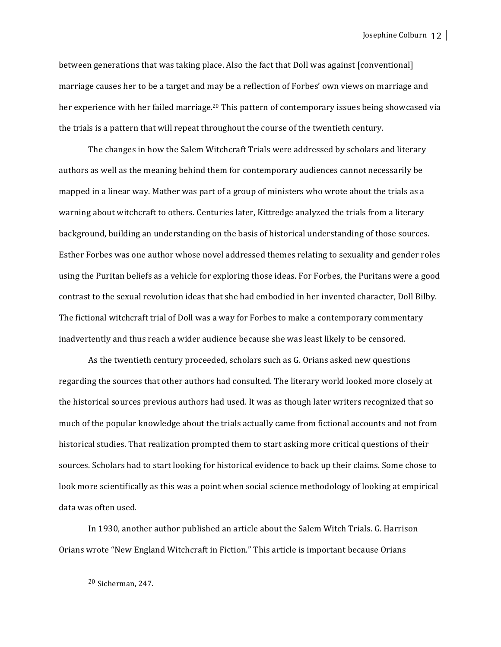Josephine Colburn 12

between generations that was taking place. Also the fact that Doll was against [conventional] marriage causes her to be a target and may be a reflection of Forbes' own views on marriage and her experience with her failed marriage.<sup>20</sup> This pattern of contemporary issues being showcased via the trials is a pattern that will repeat throughout the course of the twentieth century.

The changes in how the Salem Witchcraft Trials were addressed by scholars and literary authors as well as the meaning behind them for contemporary audiences cannot necessarily be mapped in a linear way. Mather was part of a group of ministers who wrote about the trials as a warning about witchcraft to others. Centuries later, Kittredge analyzed the trials from a literary background, building an understanding on the basis of historical understanding of those sources. Esther Forbes was one author whose novel addressed themes relating to sexuality and gender roles using the Puritan beliefs as a vehicle for exploring those ideas. For Forbes, the Puritans were a good contrast to the sexual revolution ideas that she had embodied in her invented character, Doll Bilby. The fictional witchcraft trial of Doll was a way for Forbes to make a contemporary commentary inadvertently and thus reach a wider audience because she was least likely to be censored.

As the twentieth century proceeded, scholars such as G. Orians asked new questions regarding the sources that other authors had consulted. The literary world looked more closely at the historical sources previous authors had used. It was as though later writers recognized that so much of the popular knowledge about the trials actually came from fictional accounts and not from historical studies. That realization prompted them to start asking more critical questions of their sources. Scholars had to start looking for historical evidence to back up their claims. Some chose to look more scientifically as this was a point when social science methodology of looking at empirical data was often used.

In 1930, another author published an article about the Salem Witch Trials. G. Harrison Orians wrote "New England Witchcraft in Fiction." This article is important because Orians

  $20$  Sicherman, 247.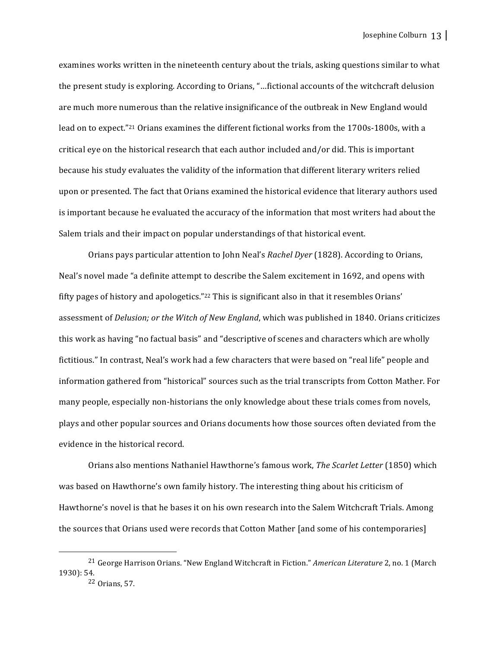examines works written in the nineteenth century about the trials, asking questions similar to what the present study is exploring. According to Orians, "...fictional accounts of the witchcraft delusion are much more numerous than the relative insignificance of the outbreak in New England would lead on to expect."<sup>21</sup> Orians examines the different fictional works from the 1700s-1800s, with a critical eye on the historical research that each author included and/or did. This is important because his study evaluates the validity of the information that different literary writers relied upon or presented. The fact that Orians examined the historical evidence that literary authors used is important because he evaluated the accuracy of the information that most writers had about the Salem trials and their impact on popular understandings of that historical event.

Orians pays particular attention to John Neal's *Rachel Dyer* (1828). According to Orians, Neal's novel made "a definite attempt to describe the Salem excitement in 1692, and opens with fifty pages of history and apologetics."<sup>22</sup> This is significant also in that it resembles Orians' assessment of *Delusion; or the Witch of New England*, which was published in 1840. Orians criticizes this work as having "no factual basis" and "descriptive of scenes and characters which are wholly fictitious." In contrast, Neal's work had a few characters that were based on "real life" people and information gathered from "historical" sources such as the trial transcripts from Cotton Mather. For many people, especially non-historians the only knowledge about these trials comes from novels, plays and other popular sources and Orians documents how those sources often deviated from the evidence in the historical record.

Orians also mentions Nathaniel Hawthorne's famous work, *The Scarlet Letter* (1850) which was based on Hawthorne's own family history. The interesting thing about his criticism of Hawthorne's novel is that he bases it on his own research into the Salem Witchcraft Trials. Among the sources that Orians used were records that Cotton Mather [and some of his contemporaries]

<sup>&</sup>lt;sup>21</sup> George Harrison Orians. "New England Witchcraft in Fiction." *American Literature* 2, no. 1 (March 1930): 54.

 $22$  Orians, 57.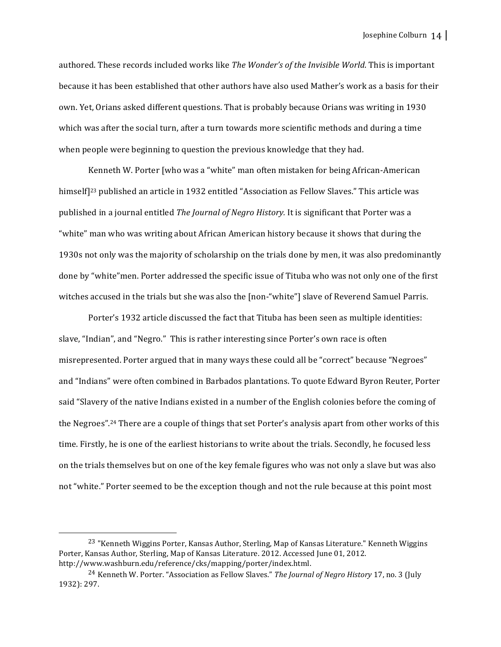authored. These records included works like *The Wonder's of the Invisible World*. This is important because it has been established that other authors have also used Mather's work as a basis for their own. Yet, Orians asked different questions. That is probably because Orians was writing in 1930 which was after the social turn, after a turn towards more scientific methods and during a time when people were beginning to question the previous knowledge that they had.

Kenneth W. Porter [who was a "white" man often mistaken for being African-American himself<sup>[23</sup> published an article in 1932 entitled "Association as Fellow Slaves." This article was published in a journal entitled *The Journal of Negro History.* It is significant that Porter was a "white" man who was writing about African American history because it shows that during the 1930s not only was the majority of scholarship on the trials done by men, it was also predominantly done by "white" men. Porter addressed the specific issue of Tituba who was not only one of the first witches accused in the trials but she was also the [non-"white"] slave of Reverend Samuel Parris.

Porter's 1932 article discussed the fact that Tituba has been seen as multiple identities: slave, "Indian", and "Negro." This is rather interesting since Porter's own race is often misrepresented. Porter argued that in many ways these could all be "correct" because "Negroes" and "Indians" were often combined in Barbados plantations. To quote Edward Byron Reuter, Porter said "Slavery of the native Indians existed in a number of the English colonies before the coming of the Negroes".<sup>24</sup> There are a couple of things that set Porter's analysis apart from other works of this time. Firstly, he is one of the earliest historians to write about the trials. Secondly, he focused less on the trials themselves but on one of the key female figures who was not only a slave but was also not "white." Porter seemed to be the exception though and not the rule because at this point most

<sup>&</sup>lt;sup>23</sup> "Kenneth Wiggins Porter, Kansas Author, Sterling, Map of Kansas Literature." Kenneth Wiggins Porter, Kansas Author, Sterling, Map of Kansas Literature. 2012. Accessed June 01, 2012. http://www.washburn.edu/reference/cks/mapping/porter/index.html.

<sup>&</sup>lt;sup>24</sup> Kenneth W. Porter. "Association as Fellow Slaves." *The Journal of Negro History* 17, no. 3 (July 1932): 297.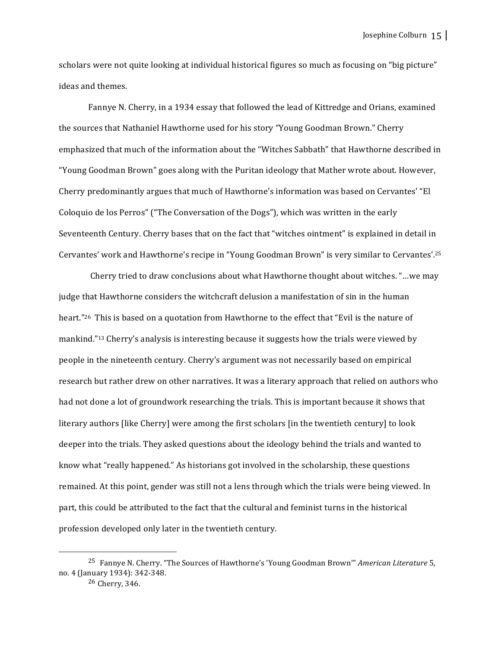scholars were not quite looking at individual historical figures so much as focusing on "big picture" ideas and themes.

Fannye N. Cherry, in a 1934 essay that followed the lead of Kittredge and Orians, examined the sources that Nathaniel Hawthorne used for his story "Young Goodman Brown." Cherry emphasized that much of the information about the "Witches Sabbath" that Hawthorne described in "Young Goodman Brown" goes along with the Puritan ideology that Mather wrote about. However, Cherry predominantly argues that much of Hawthorne's information was based on Cervantes' "El Coloquio de los Perros" ("The Conversation of the Dogs"), which was written in the early Seventeenth Century. Cherry bases that on the fact that "witches ointment" is explained in detail in Cervantes' work and Hawthorne's recipe in "Young Goodman Brown" is very similar to Cervantes'.<sup>25</sup>

Cherry tried to draw conclusions about what Hawthorne thought about witches. "...we may judge that Hawthorne considers the witchcraft delusion a manifestation of sin in the human heart."<sup>26</sup> This is based on a quotation from Hawthorne to the effect that "Evil is the nature of mankind."<sup>13</sup> Cherry's analysis is interesting because it suggests how the trials were viewed by people in the nineteenth century. Cherry's argument was not necessarily based on empirical research but rather drew on other narratives. It was a literary approach that relied on authors who had not done a lot of groundwork researching the trials. This is important because it shows that literary authors [like Cherry] were among the first scholars [in the twentieth century] to look deeper into the trials. They asked questions about the ideology behind the trials and wanted to know what "really happened." As historians got involved in the scholarship, these questions remained. At this point, gender was still not a lens through which the trials were being viewed. In part, this could be attributed to the fact that the cultural and feminist turns in the historical profession developed only later in the twentieth century.

<sup>&</sup>lt;sup>25</sup> Fannye N. Cherry. "The Sources of Hawthorne's 'Young Goodman Brown'" American Literature 5, no. 4 (January 1934): 342-348. 

 $26$  Cherry, 346.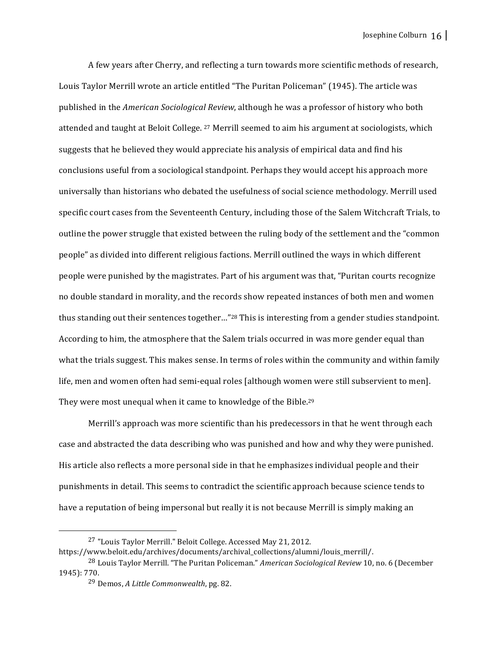A few years after Cherry, and reflecting a turn towards more scientific methods of research, Louis Taylor Merrill wrote an article entitled "The Puritan Policeman" (1945). The article was published in the *American Sociological Review*, although he was a professor of history who both attended and taught at Beloit College. <sup>27</sup> Merrill seemed to aim his argument at sociologists, which suggests that he believed they would appreciate his analysis of empirical data and find his conclusions useful from a sociological standpoint. Perhaps they would accept his approach more universally than historians who debated the usefulness of social science methodology. Merrill used specific court cases from the Seventeenth Century, including those of the Salem Witchcraft Trials, to outline the power struggle that existed between the ruling body of the settlement and the "common people" as divided into different religious factions. Merrill outlined the ways in which different people were punished by the magistrates. Part of his argument was that, "Puritan courts recognize no double standard in morality, and the records show repeated instances of both men and women thus standing out their sentences together..."<sup>28</sup> This is interesting from a gender studies standpoint. According to him, the atmosphere that the Salem trials occurred in was more gender equal than what the trials suggest. This makes sense. In terms of roles within the community and within family life, men and women often had semi-equal roles [although women were still subservient to men]. They were most unequal when it came to knowledge of the Bible.<sup>29</sup>

Merrill's approach was more scientific than his predecessors in that he went through each case and abstracted the data describing who was punished and how and why they were punished. His article also reflects a more personal side in that he emphasizes individual people and their punishments in detail. This seems to contradict the scientific approach because science tends to have a reputation of being impersonal but really it is not because Merrill is simply making an

https://www.beloit.edu/archives/documents/archival\_collections/alumni/louis\_merrill/.

<sup>&</sup>lt;sup>27</sup> "Louis Taylor Merrill." Beloit College. Accessed May 21, 2012.

<sup>&</sup>lt;sup>28</sup> Louis Taylor Merrill. "The Puritan Policeman." *American Sociological Review* 10, no. 6 (December 1945): 770.

<sup>&</sup>lt;sup>29</sup> Demos, *A Little Commonwealth*, pg. 82.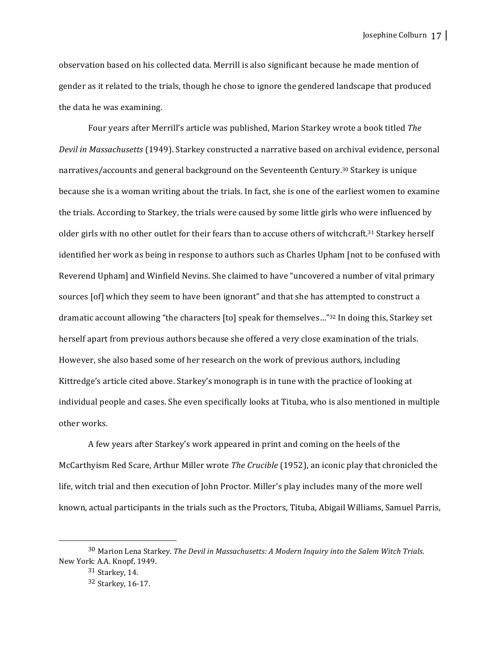observation based on his collected data. Merrill is also significant because he made mention of gender as it related to the trials, though he chose to ignore the gendered landscape that produced the data he was examining.

Four years after Merrill's article was published, Marion Starkey wrote a book titled *The Devil in Massachusetts* (1949). Starkey constructed a narrative based on archival evidence, personal narratives/accounts and general background on the Seventeenth Century.<sup>30</sup> Starkey is unique because she is a woman writing about the trials. In fact, she is one of the earliest women to examine the trials. According to Starkey, the trials were caused by some little girls who were influenced by older girls with no other outlet for their fears than to accuse others of witchcraft.<sup>31</sup> Starkey herself identified her work as being in response to authors such as Charles Upham [not to be confused with Reverend Upham] and Winfield Nevins. She claimed to have "uncovered a number of vital primary sources [of] which they seem to have been ignorant" and that she has attempted to construct a dramatic account allowing "the characters [to] speak for themselves..."<sup>32</sup> In doing this, Starkey set herself apart from previous authors because she offered a very close examination of the trials. However, she also based some of her research on the work of previous authors, including Kittredge's article cited above. Starkey's monograph is in tune with the practice of looking at individual people and cases. She even specifically looks at Tituba, who is also mentioned in multiple other works.

A few years after Starkey's work appeared in print and coming on the heels of the McCarthyism Red Scare, Arthur Miller wrote *The Crucible* (1952), an iconic play that chronicled the life, witch trial and then execution of John Proctor. Miller's play includes many of the more well known, actual participants in the trials such as the Proctors, Tituba, Abigail Williams, Samuel Parris,

<sup>30</sup> Marion Lena Starkey. *The Devil in Massachusetts: A Modern Inquiry into the Salem Witch Trials.* New York: A.A. Knopf, 1949.

 $31$  Starkey, 14.

<sup>32</sup> Starkey, 16-17.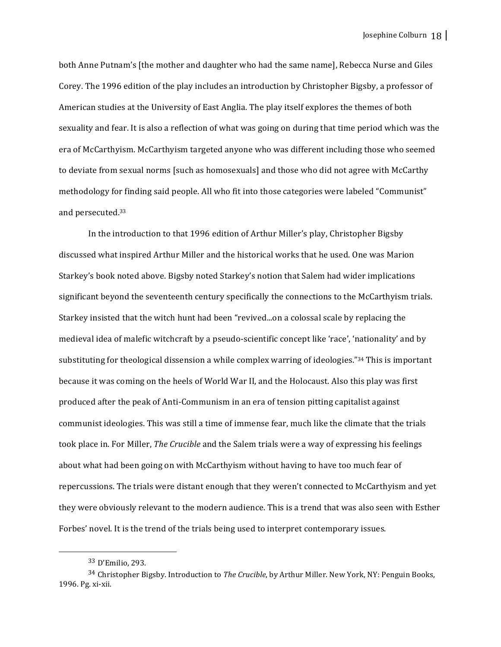both Anne Putnam's [the mother and daughter who had the same name], Rebecca Nurse and Giles Corey. The 1996 edition of the play includes an introduction by Christopher Bigsby, a professor of American studies at the University of East Anglia. The play itself explores the themes of both sexuality and fear. It is also a reflection of what was going on during that time period which was the era of McCarthyism. McCarthyism targeted anyone who was different including those who seemed to deviate from sexual norms [such as homosexuals] and those who did not agree with McCarthy methodology for finding said people. All who fit into those categories were labeled "Communist" and persecuted.<sup>33</sup>

In the introduction to that 1996 edition of Arthur Miller's play, Christopher Bigsby discussed what inspired Arthur Miller and the historical works that he used. One was Marion Starkey's book noted above. Bigsby noted Starkey's notion that Salem had wider implications significant beyond the seventeenth century specifically the connections to the McCarthyism trials. Starkey insisted that the witch hunt had been "revived...on a colossal scale by replacing the medieval idea of malefic witchcraft by a pseudo-scientific concept like 'race', 'nationality' and by substituting for theological dissension a while complex warring of ideologies." $34$  This is important because it was coming on the heels of World War II, and the Holocaust. Also this play was first produced after the peak of Anti-Communism in an era of tension pitting capitalist against communist ideologies. This was still a time of immense fear, much like the climate that the trials took place in. For Miller, *The Crucible* and the Salem trials were a way of expressing his feelings about what had been going on with McCarthyism without having to have too much fear of repercussions. The trials were distant enough that they weren't connected to McCarthyism and yet they were obviously relevant to the modern audience. This is a trend that was also seen with Esther Forbes' novel. It is the trend of the trials being used to interpret contemporary issues.

 33 D'Emilio, 293.

<sup>&</sup>lt;sup>34</sup> Christopher Bigsby. Introduction to *The Crucible*, by Arthur Miller. New York, NY: Penguin Books, 1996. Pg. xi-xii.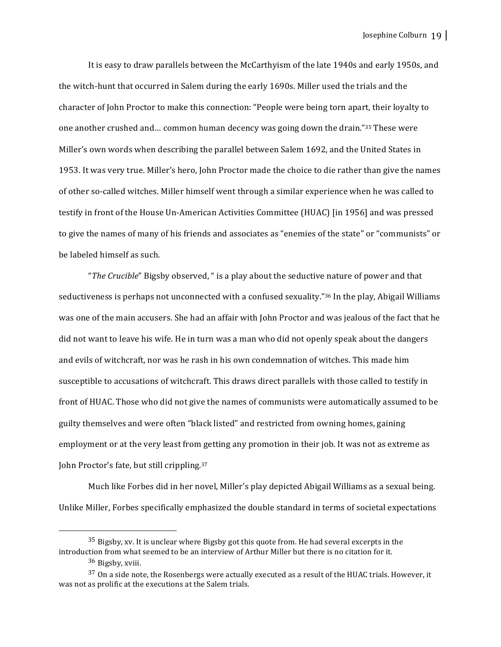It is easy to draw parallels between the McCarthyism of the late 1940s and early 1950s, and the witch-hunt that occurred in Salem during the early 1690s. Miller used the trials and the character of John Proctor to make this connection: "People were being torn apart, their loyalty to one another crushed and... common human decency was going down the drain."35 These were Miller's own words when describing the parallel between Salem 1692, and the United States in 1953. It was very true. Miller's hero, John Proctor made the choice to die rather than give the names of other so-called witches. Miller himself went through a similar experience when he was called to testify in front of the House Un-American Activities Committee (HUAC) [in 1956] and was pressed to give the names of many of his friends and associates as "enemies of the state" or "communists" or be labeled himself as such.

"*The Crucible*" Bigsby observed, " is a play about the seductive nature of power and that seductiveness is perhaps not unconnected with a confused sexuality."<sup>36</sup> In the play, Abigail Williams was one of the main accusers. She had an affair with John Proctor and was jealous of the fact that he did not want to leave his wife. He in turn was a man who did not openly speak about the dangers and evils of witchcraft, nor was he rash in his own condemnation of witches. This made him susceptible to accusations of witchcraft. This draws direct parallels with those called to testify in front of HUAC. Those who did not give the names of communists were automatically assumed to be guilty themselves and were often "black listed" and restricted from owning homes, gaining employment or at the very least from getting any promotion in their job. It was not as extreme as John Proctor's fate, but still crippling.<sup>37</sup>

Much like Forbes did in her novel, Miller's play depicted Abigail Williams as a sexual being. Unlike Miller, Forbes specifically emphasized the double standard in terms of societal expectations

 $35$  Bigsby, xv. It is unclear where Bigsby got this quote from. He had several excerpts in the introduction from what seemed to be an interview of Arthur Miller but there is no citation for it. 36 Bigsby, xviii.

 $37$  On a side note, the Rosenbergs were actually executed as a result of the HUAC trials. However, it was not as prolific at the executions at the Salem trials.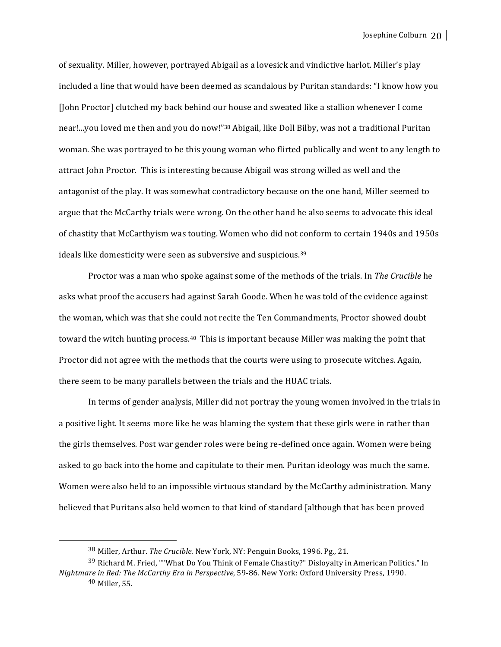of sexuality. Miller, however, portrayed Abigail as a lovesick and vindictive harlot. Miller's play included a line that would have been deemed as scandalous by Puritan standards: "I know how you [John Proctor] clutched my back behind our house and sweated like a stallion whenever I come near!...you loved me then and you do now!"<sup>38</sup> Abigail, like Doll Bilby, was not a traditional Puritan woman. She was portrayed to be this young woman who flirted publically and went to any length to attract John Proctor. This is interesting because Abigail was strong willed as well and the antagonist of the play. It was somewhat contradictory because on the one hand, Miller seemed to argue that the McCarthy trials were wrong. On the other hand he also seems to advocate this ideal of chastity that McCarthyism was touting. Women who did not conform to certain 1940s and 1950s ideals like domesticity were seen as subversive and suspicious.<sup>39</sup>

Proctor was a man who spoke against some of the methods of the trials. In *The Crucible* he asks what proof the accusers had against Sarah Goode. When he was told of the evidence against the woman, which was that she could not recite the Ten Commandments, Proctor showed doubt toward the witch hunting process.<sup>40</sup> This is important because Miller was making the point that Proctor did not agree with the methods that the courts were using to prosecute witches. Again, there seem to be many parallels between the trials and the HUAC trials.

In terms of gender analysis, Miller did not portray the young women involved in the trials in a positive light. It seems more like he was blaming the system that these girls were in rather than the girls themselves. Post war gender roles were being re-defined once again. Women were being asked to go back into the home and capitulate to their men. Puritan ideology was much the same. Women were also held to an impossible virtuous standard by the McCarthy administration. Many believed that Puritans also held women to that kind of standard [although that has been proved

<sup>&</sup>lt;sup>38</sup> Miller, Arthur. *The Crucible*. New York, NY: Penguin Books, 1996. Pg., 21.

 $39$  Richard M. Fried, ""What Do You Think of Female Chastity?" Disloyalty in American Politics." In *Nightmare in Red: The McCarthy Era in Perspective*, 59-86. New York: Oxford University Press, 1990.

 $40$  Miller, 55.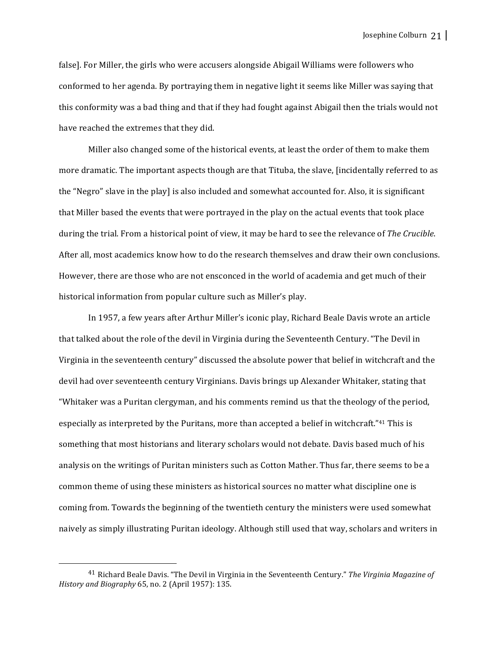false]. For Miller, the girls who were accusers alongside Abigail Williams were followers who conformed to her agenda. By portraying them in negative light it seems like Miller was saying that this conformity was a bad thing and that if they had fought against Abigail then the trials would not have reached the extremes that they did.

Miller also changed some of the historical events, at least the order of them to make them more dramatic. The important aspects though are that Tituba, the slave, [incidentally referred to as the "Negro" slave in the play] is also included and somewhat accounted for. Also, it is significant that Miller based the events that were portrayed in the play on the actual events that took place during the trial. From a historical point of view, it may be hard to see the relevance of *The Crucible*. After all, most academics know how to do the research themselves and draw their own conclusions. However, there are those who are not ensconced in the world of academia and get much of their historical information from popular culture such as Miller's play.

In 1957, a few years after Arthur Miller's iconic play, Richard Beale Davis wrote an article that talked about the role of the devil in Virginia during the Seventeenth Century. "The Devil in Virginia in the seventeenth century" discussed the absolute power that belief in witchcraft and the devil had over seventeenth century Virginians. Davis brings up Alexander Whitaker, stating that "Whitaker was a Puritan clergyman, and his comments remind us that the theology of the period, especially as interpreted by the Puritans, more than accepted a belief in witchcraft."<sup>41</sup> This is something that most historians and literary scholars would not debate. Davis based much of his analysis on the writings of Puritan ministers such as Cotton Mather. Thus far, there seems to be a common theme of using these ministers as historical sources no matter what discipline one is coming from. Towards the beginning of the twentieth century the ministers were used somewhat naively as simply illustrating Puritan ideology. Although still used that way, scholars and writers in

<sup>&</sup>lt;sup>41</sup> Richard Beale Davis. "The Devil in Virginia in the Seventeenth Century." The Virginia Magazine of *History and Biography* 65, no. 2 (April 1957): 135.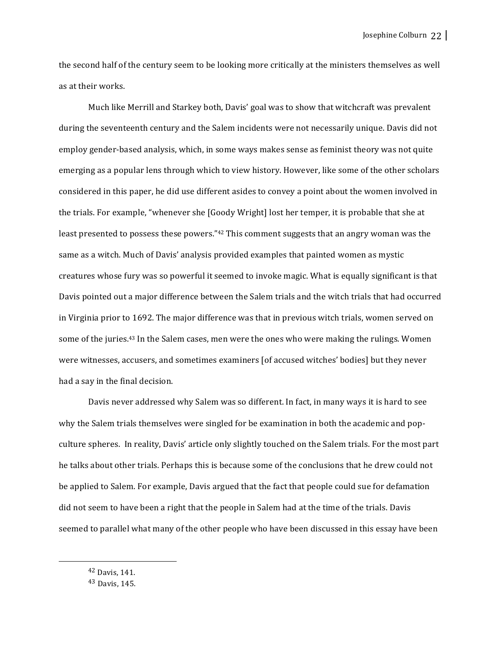the second half of the century seem to be looking more critically at the ministers themselves as well as at their works.

Much like Merrill and Starkey both, Davis' goal was to show that witchcraft was prevalent during the seventeenth century and the Salem incidents were not necessarily unique. Davis did not employ gender-based analysis, which, in some ways makes sense as feminist theory was not quite emerging as a popular lens through which to view history. However, like some of the other scholars considered in this paper, he did use different asides to convey a point about the women involved in the trials. For example, "whenever she [Goody Wright] lost her temper, it is probable that she at least presented to possess these powers."<sup>42</sup> This comment suggests that an angry woman was the same as a witch. Much of Davis' analysis provided examples that painted women as mystic creatures whose fury was so powerful it seemed to invoke magic. What is equally significant is that Davis pointed out a major difference between the Salem trials and the witch trials that had occurred in Virginia prior to 1692. The major difference was that in previous witch trials, women served on some of the juries.<sup>43</sup> In the Salem cases, men were the ones who were making the rulings. Women were witnesses, accusers, and sometimes examiners [of accused witches' bodies] but they never had a say in the final decision.

Davis never addressed why Salem was so different. In fact, in many ways it is hard to see why the Salem trials themselves were singled for be examination in both the academic and popculture spheres. In reality, Davis' article only slightly touched on the Salem trials. For the most part he talks about other trials. Perhaps this is because some of the conclusions that he drew could not be applied to Salem. For example, Davis argued that the fact that people could sue for defamation did not seem to have been a right that the people in Salem had at the time of the trials. Davis seemed to parallel what many of the other people who have been discussed in this essay have been

<sup>42</sup> Davis, 141.

<sup>43</sup> Davis, 145.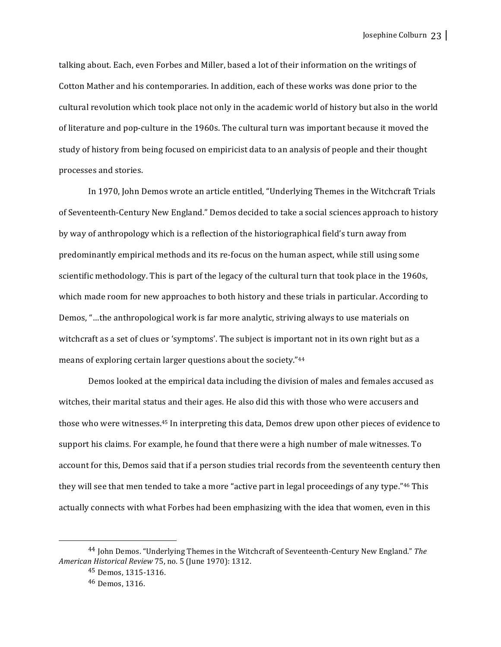talking about. Each, even Forbes and Miller, based a lot of their information on the writings of Cotton Mather and his contemporaries. In addition, each of these works was done prior to the cultural revolution which took place not only in the academic world of history but also in the world of literature and pop-culture in the 1960s. The cultural turn was important because it moved the study of history from being focused on empiricist data to an analysis of people and their thought processes and stories.

In 1970, John Demos wrote an article entitled, "Underlying Themes in the Witchcraft Trials of Seventeenth-Century New England." Demos decided to take a social sciences approach to history by way of anthropology which is a reflection of the historiographical field's turn away from predominantly empirical methods and its re-focus on the human aspect, while still using some scientific methodology. This is part of the legacy of the cultural turn that took place in the 1960s, which made room for new approaches to both history and these trials in particular. According to Demos, "...the anthropological work is far more analytic, striving always to use materials on witchcraft as a set of clues or 'symptoms'. The subject is important not in its own right but as a means of exploring certain larger questions about the society."<sup>44</sup>

Demos looked at the empirical data including the division of males and females accused as witches, their marital status and their ages. He also did this with those who were accusers and those who were witnesses.<sup>45</sup> In interpreting this data, Demos drew upon other pieces of evidence to support his claims. For example, he found that there were a high number of male witnesses. To account for this, Demos said that if a person studies trial records from the seventeenth century then they will see that men tended to take a more "active part in legal proceedings of any type."<sup>46</sup> This actually connects with what Forbes had been emphasizing with the idea that women, even in this

<sup>&</sup>lt;sup>44</sup> John Demos. "Underlying Themes in the Witchcraft of Seventeenth-Century New England." The *American Historical Review* 75, no. 5 (June 1970): 1312.

<sup>45</sup> Demos, 1315-1316.

 $46$  Demos, 1316.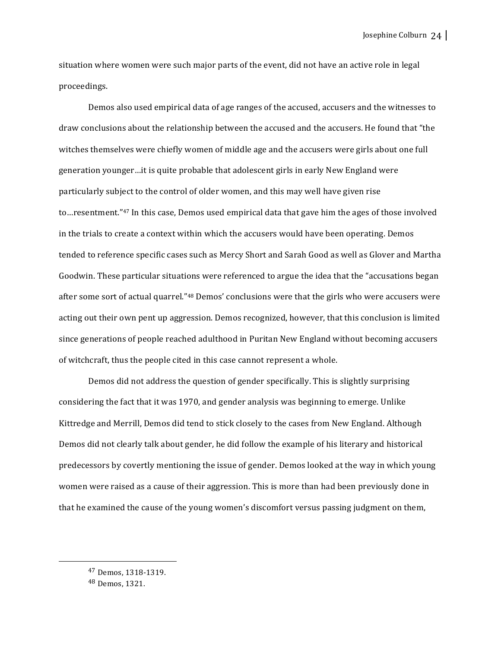Josephine Colburn 24

situation where women were such major parts of the event, did not have an active role in legal proceedings. 

Demos also used empirical data of age ranges of the accused, accusers and the witnesses to draw conclusions about the relationship between the accused and the accusers. He found that "the witches themselves were chiefly women of middle age and the accusers were girls about one full generation younger...it is quite probable that adolescent girls in early New England were particularly subject to the control of older women, and this may well have given rise to…resentment."<sup>47</sup> In this case, Demos used empirical data that gave him the ages of those involved in the trials to create a context within which the accusers would have been operating. Demos tended to reference specific cases such as Mercy Short and Sarah Good as well as Glover and Martha Goodwin. These particular situations were referenced to argue the idea that the "accusations began after some sort of actual quarrel."<sup>48</sup> Demos' conclusions were that the girls who were accusers were acting out their own pent up aggression. Demos recognized, however, that this conclusion is limited since generations of people reached adulthood in Puritan New England without becoming accusers of witchcraft, thus the people cited in this case cannot represent a whole.

Demos did not address the question of gender specifically. This is slightly surprising considering the fact that it was 1970, and gender analysis was beginning to emerge. Unlike Kittredge and Merrill, Demos did tend to stick closely to the cases from New England. Although Demos did not clearly talk about gender, he did follow the example of his literary and historical predecessors by covertly mentioning the issue of gender. Demos looked at the way in which young women were raised as a cause of their aggression. This is more than had been previously done in that he examined the cause of the young women's discomfort versus passing judgment on them,

<sup>47</sup> Demos, 1318-1319. 

<sup>48</sup> Demos, 1321.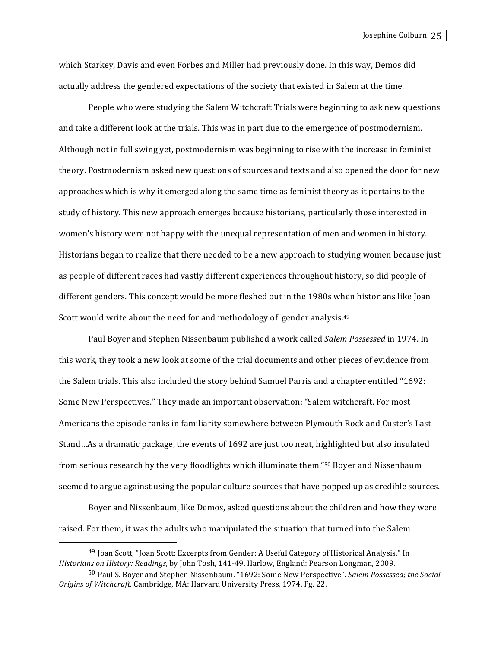Josephine Colburn 25

which Starkey, Davis and even Forbes and Miller had previously done. In this way, Demos did actually address the gendered expectations of the society that existed in Salem at the time.

People who were studying the Salem Witchcraft Trials were beginning to ask new questions and take a different look at the trials. This was in part due to the emergence of postmodernism. Although not in full swing yet, postmodernism was beginning to rise with the increase in feminist theory. Postmodernism asked new questions of sources and texts and also opened the door for new approaches which is why it emerged along the same time as feminist theory as it pertains to the study of history. This new approach emerges because historians, particularly those interested in women's history were not happy with the unequal representation of men and women in history. Historians began to realize that there needed to be a new approach to studying women because just as people of different races had vastly different experiences throughout history, so did people of different genders. This concept would be more fleshed out in the 1980s when historians like Joan Scott would write about the need for and methodology of gender analysis.<sup>49</sup>

Paul Boyer and Stephen Nissenbaum published a work called *Salem Possessed* in 1974. In this work, they took a new look at some of the trial documents and other pieces of evidence from the Salem trials. This also included the story behind Samuel Parris and a chapter entitled "1692: Some New Perspectives." They made an important observation: "Salem witchcraft. For most Americans the episode ranks in familiarity somewhere between Plymouth Rock and Custer's Last Stand...As a dramatic package, the events of 1692 are just too neat, highlighted but also insulated from serious research by the very floodlights which illuminate them."<sup>50</sup> Boyer and Nissenbaum seemed to argue against using the popular culture sources that have popped up as credible sources.

Boyer and Nissenbaum, like Demos, asked questions about the children and how they were raised. For them, it was the adults who manipulated the situation that turned into the Salem

<sup>&</sup>lt;sup>49</sup> Joan Scott, "Joan Scott: Excerpts from Gender: A Useful Category of Historical Analysis." In *Historians on History: Readings*, by John Tosh, 141-49. Harlow, England: Pearson Longman, 2009.

<sup>50</sup> Paul S. Boyer and Stephen Nissenbaum. "1692: Some New Perspective". *Salem Possessed; the Social* Origins of Witchcraft. Cambridge, MA: Harvard University Press, 1974. Pg. 22.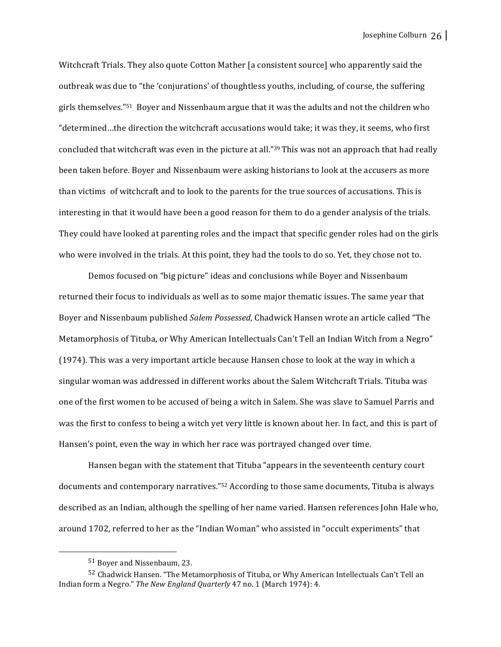Witchcraft Trials. They also quote Cotton Mather [a consistent source] who apparently said the outbreak was due to "the 'conjurations' of thoughtless youths, including, of course, the suffering girls themselves." $51$  Boyer and Nissenbaum argue that it was the adults and not the children who "determined...the direction the witchcraft accusations would take; it was they, it seems, who first concluded that witchcraft was even in the picture at all."39 This was not an approach that had really been taken before. Boyer and Nissenbaum were asking historians to look at the accusers as more than victims of witchcraft and to look to the parents for the true sources of accusations. This is interesting in that it would have been a good reason for them to do a gender analysis of the trials. They could have looked at parenting roles and the impact that specific gender roles had on the girls who were involved in the trials. At this point, they had the tools to do so. Yet, they chose not to.

Demos focused on "big picture" ideas and conclusions while Boyer and Nissenbaum returned their focus to individuals as well as to some major thematic issues. The same year that Boyer and Nissenbaum published *Salem Possessed*, Chadwick Hansen wrote an article called "The Metamorphosis of Tituba, or Why American Intellectuals Can't Tell an Indian Witch from a Negro" (1974). This was a very important article because Hansen chose to look at the way in which a singular woman was addressed in different works about the Salem Witchcraft Trials. Tituba was one of the first women to be accused of being a witch in Salem. She was slave to Samuel Parris and was the first to confess to being a witch yet very little is known about her. In fact, and this is part of Hansen's point, even the way in which her race was portrayed changed over time.

Hansen began with the statement that Tituba "appears in the seventeenth century court documents and contemporary narratives."<sup>52</sup> According to those same documents, Tituba is always described as an Indian, although the spelling of her name varied. Hansen references John Hale who, around 1702, referred to her as the "Indian Woman" who assisted in "occult experiments" that

<sup>51</sup> Bover and Nissenbaum, 23.

 $52$  Chadwick Hansen. "The Metamorphosis of Tituba, or Why American Intellectuals Can't Tell an Indian form a Negro." The New England Quarterly 47 no. 1 (March 1974): 4.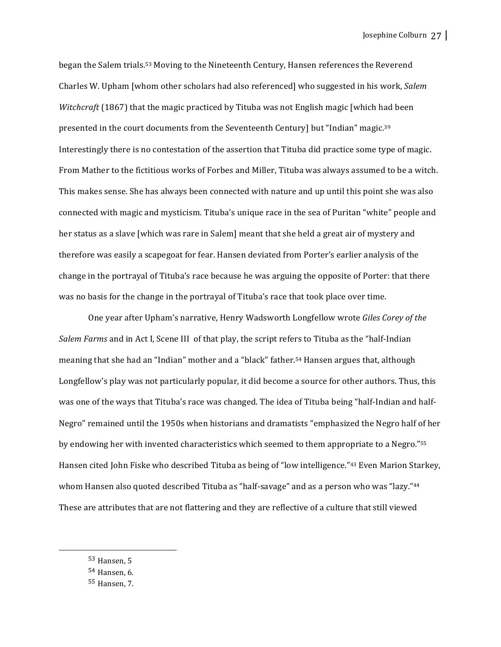began the Salem trials.<sup>53</sup> Moving to the Nineteenth Century, Hansen references the Reverend Charles W. Upham [whom other scholars had also referenced] who suggested in his work, *Salem Witchcraft* (1867) that the magic practiced by Tituba was not English magic [which had been presented in the court documents from the Seventeenth Century] but "Indian" magic. $39$ Interestingly there is no contestation of the assertion that Tituba did practice some type of magic. From Mather to the fictitious works of Forbes and Miller, Tituba was always assumed to be a witch. This makes sense. She has always been connected with nature and up until this point she was also connected with magic and mysticism. Tituba's unique race in the sea of Puritan "white" people and her status as a slave [which was rare in Salem] meant that she held a great air of mystery and therefore was easily a scapegoat for fear. Hansen deviated from Porter's earlier analysis of the change in the portrayal of Tituba's race because he was arguing the opposite of Porter: that there was no basis for the change in the portrayal of Tituba's race that took place over time.

One year after Upham's narrative, Henry Wadsworth Longfellow wrote *Giles Corey of the Salem Farms* and in Act I, Scene III of that play, the script refers to Tituba as the "half-Indian" meaning that she had an "Indian" mother and a "black" father.<sup>54</sup> Hansen argues that, although Longfellow's play was not particularly popular, it did become a source for other authors. Thus, this was one of the ways that Tituba's race was changed. The idea of Tituba being "half-Indian and half-Negro" remained until the 1950s when historians and dramatists "emphasized the Negro half of her by endowing her with invented characteristics which seemed to them appropriate to a Negro."55 Hansen cited John Fiske who described Tituba as being of "low intelligence."<sup>43</sup> Even Marion Starkey, whom Hansen also quoted described Tituba as "half-savage" and as a person who was "lazy."<sup>44</sup> These are attributes that are not flattering and they are reflective of a culture that still viewed

 $53$  Hansen, 5

 $54$  Hansen, 6.

 $55$  Hansen,  $7.$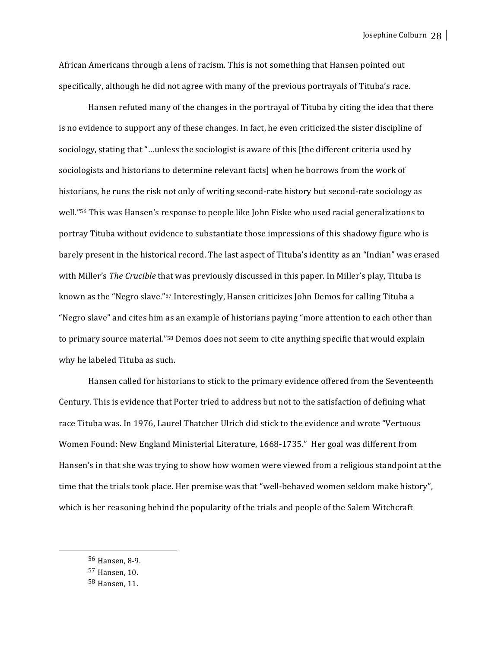African Americans through a lens of racism. This is not something that Hansen pointed out specifically, although he did not agree with many of the previous portrayals of Tituba's race.

Hansen refuted many of the changes in the portrayal of Tituba by citing the idea that there is no evidence to support any of these changes. In fact, he even criticized-the sister discipline of sociology, stating that "...unless the sociologist is aware of this [the different criteria used by sociologists and historians to determine relevant facts] when he borrows from the work of historians, he runs the risk not only of writing second-rate history but second-rate sociology as well."<sup>56</sup> This was Hansen's response to people like John Fiske who used racial generalizations to portray Tituba without evidence to substantiate those impressions of this shadowy figure who is barely present in the historical record. The last aspect of Tituba's identity as an "Indian" was erased with Miller's *The Crucible* that was previously discussed in this paper. In Miller's play, Tituba is known as the "Negro slave."<sup>57</sup> Interestingly, Hansen criticizes John Demos for calling Tituba a "Negro slave" and cites him as an example of historians paying "more attention to each other than to primary source material."<sup>58</sup> Demos does not seem to cite anything specific that would explain why he labeled Tituba as such.

Hansen called for historians to stick to the primary evidence offered from the Seventeenth Century. This is evidence that Porter tried to address but not to the satisfaction of defining what race Tituba was. In 1976, Laurel Thatcher Ulrich did stick to the evidence and wrote "Vertuous Women Found: New England Ministerial Literature, 1668-1735." Her goal was different from Hansen's in that she was trying to show how women were viewed from a religious standpoint at the time that the trials took place. Her premise was that "well-behaved women seldom make history", which is her reasoning behind the popularity of the trials and people of the Salem Witchcraft

 <sup>56</sup> Hansen, 8-9. 

<sup>&</sup>lt;sup>57</sup> Hansen, 10.

<sup>58</sup> Hansen, 11.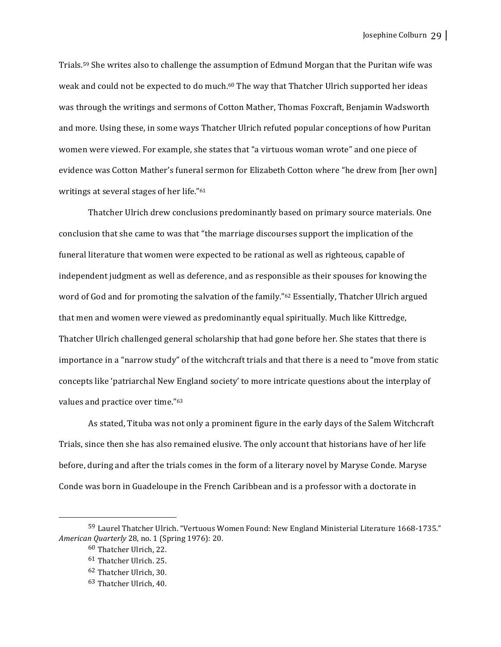Trials.<sup>59</sup> She writes also to challenge the assumption of Edmund Morgan that the Puritan wife was weak and could not be expected to do much.<sup>60</sup> The way that Thatcher Ulrich supported her ideas was through the writings and sermons of Cotton Mather, Thomas Foxcraft, Benjamin Wadsworth and more. Using these, in some ways Thatcher Ulrich refuted popular conceptions of how Puritan women were viewed. For example, she states that "a virtuous woman wrote" and one piece of evidence was Cotton Mather's funeral sermon for Elizabeth Cotton where "he drew from [her own] writings at several stages of her life." $61$ 

Thatcher Ulrich drew conclusions predominantly based on primary source materials. One conclusion that she came to was that "the marriage discourses support the implication of the funeral literature that women were expected to be rational as well as righteous, capable of independent judgment as well as deference, and as responsible as their spouses for knowing the word of God and for promoting the salvation of the family."<sup>62</sup> Essentially, Thatcher Ulrich argued that men and women were viewed as predominantly equal spiritually. Much like Kittredge, Thatcher Ulrich challenged general scholarship that had gone before her. She states that there is importance in a "narrow study" of the witchcraft trials and that there is a need to "move from static concepts like 'patriarchal New England society' to more intricate questions about the interplay of values and practice over time."<sup>63</sup>

As stated, Tituba was not only a prominent figure in the early days of the Salem Witchcraft Trials, since then she has also remained elusive. The only account that historians have of her life before, during and after the trials comes in the form of a literary novel by Maryse Conde. Maryse Conde was born in Guadeloupe in the French Caribbean and is a professor with a doctorate in

<sup>59</sup> Laurel Thatcher Ulrich. "Vertuous Women Found: New England Ministerial Literature 1668-1735." *American Quarterly* 28, no. 1 (Spring 1976): 20.

<sup>&</sup>lt;sup>60</sup> Thatcher Ulrich, 22.

 $61$  Thatcher Ulrich. 25.

 $62$  Thatcher Ulrich, 30.

<sup>&</sup>lt;sup>63</sup> Thatcher Ulrich, 40.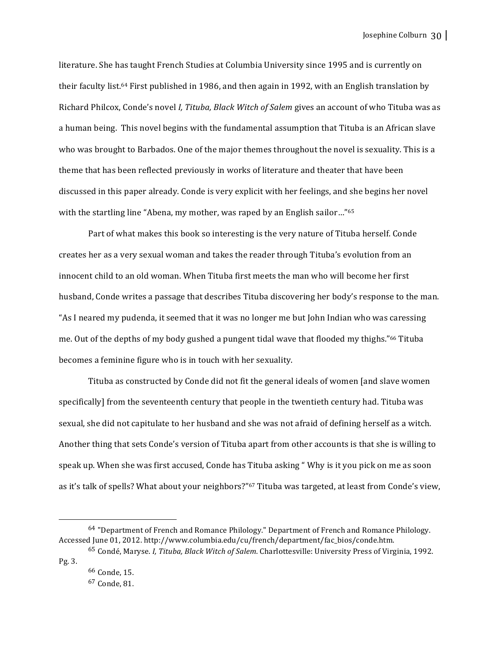literature. She has taught French Studies at Columbia University since 1995 and is currently on their faculty list.<sup>64</sup> First published in 1986, and then again in 1992, with an English translation by Richard Philcox, Conde's novel *I, Tituba, Black Witch of Salem* gives an account of who Tituba was as a human being. This novel begins with the fundamental assumption that Tituba is an African slave who was brought to Barbados. One of the major themes throughout the novel is sexuality. This is a theme that has been reflected previously in works of literature and theater that have been discussed in this paper already. Conde is very explicit with her feelings, and she begins her novel with the startling line "Abena, my mother, was raped by an English sailor..."<sup>65</sup>

Part of what makes this book so interesting is the very nature of Tituba herself. Conde creates her as a very sexual woman and takes the reader through Tituba's evolution from an innocent child to an old woman. When Tituba first meets the man who will become her first husband, Conde writes a passage that describes Tituba discovering her body's response to the man. "As I neared my pudenda, it seemed that it was no longer me but John Indian who was caressing me. Out of the depths of my body gushed a pungent tidal wave that flooded my thighs."<sup>66</sup> Tituba becomes a feminine figure who is in touch with her sexuality.

Tituba as constructed by Conde did not fit the general ideals of women [and slave women] specifically] from the seventeenth century that people in the twentieth century had. Tituba was sexual, she did not capitulate to her husband and she was not afraid of defining herself as a witch. Another thing that sets Conde's version of Tituba apart from other accounts is that she is willing to speak up. When she was first accused, Conde has Tituba asking " Why is it you pick on me as soon as it's talk of spells? What about your neighbors?"<sup>67</sup> Tituba was targeted, at least from Conde's view,

 $64$  "Department of French and Romance Philology." Department of French and Romance Philology. Accessed June 01, 2012. http://www.columbia.edu/cu/french/department/fac\_bios/conde.htm.

<sup>65</sup> Condé, Maryse. *I, Tituba, Black Witch of Salem*. Charlottesville: University Press of Virginia, 1992. Pg. 3. 

 $66$  Conde, 15.  $67$  Conde, 81.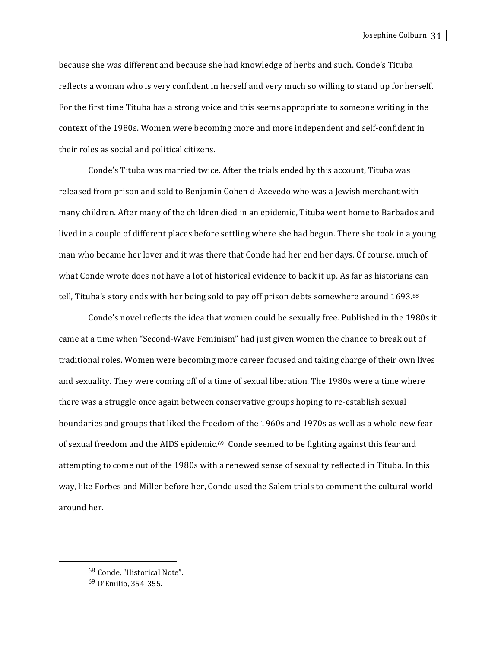because she was different and because she had knowledge of herbs and such. Conde's Tituba reflects a woman who is very confident in herself and very much so willing to stand up for herself. For the first time Tituba has a strong voice and this seems appropriate to someone writing in the context of the 1980s. Women were becoming more and more independent and self-confident in their roles as social and political citizens.

Conde's Tituba was married twice. After the trials ended by this account, Tituba was released from prison and sold to Benjamin Cohen d-Azevedo who was a Jewish merchant with many children. After many of the children died in an epidemic, Tituba went home to Barbados and lived in a couple of different places before settling where she had begun. There she took in a young man who became her lover and it was there that Conde had her end her days. Of course, much of what Conde wrote does not have a lot of historical evidence to back it up. As far as historians can tell, Tituba's story ends with her being sold to pay off prison debts somewhere around 1693.<sup>68</sup>

Conde's novel reflects the idea that women could be sexually free. Published in the 1980s it came at a time when "Second-Wave Feminism" had just given women the chance to break out of traditional roles. Women were becoming more career focused and taking charge of their own lives and sexuality. They were coming off of a time of sexual liberation. The 1980s were a time where there was a struggle once again between conservative groups hoping to re-establish sexual boundaries and groups that liked the freedom of the 1960s and 1970s as well as a whole new fear of sexual freedom and the AIDS epidemic.<sup>69</sup> Conde seemed to be fighting against this fear and attempting to come out of the 1980s with a renewed sense of sexuality reflected in Tituba. In this way, like Forbes and Miller before her, Conde used the Salem trials to comment the cultural world around her. 

<sup>&</sup>lt;sup>68</sup> Conde, "Historical Note".

<sup>69</sup> D'Emilio, 354-355.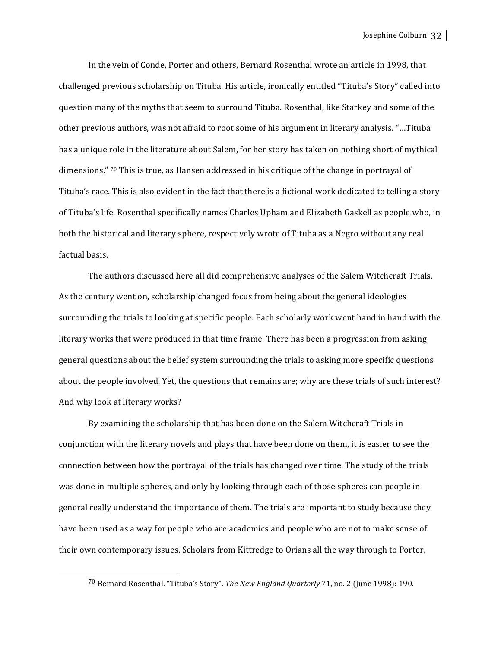In the vein of Conde, Porter and others, Bernard Rosenthal wrote an article in 1998, that challenged previous scholarship on Tituba. His article, ironically entitled "Tituba's Story" called into question many of the myths that seem to surround Tituba. Rosenthal, like Starkey and some of the other previous authors, was not afraid to root some of his argument in literary analysis. "...Tituba has a unique role in the literature about Salem, for her story has taken on nothing short of mythical dimensions." <sup>70</sup> This is true, as Hansen addressed in his critique of the change in portrayal of Tituba's race. This is also evident in the fact that there is a fictional work dedicated to telling a story of Tituba's life. Rosenthal specifically names Charles Upham and Elizabeth Gaskell as people who, in both the historical and literary sphere, respectively wrote of Tituba as a Negro without any real factual basis.

The authors discussed here all did comprehensive analyses of the Salem Witchcraft Trials. As the century went on, scholarship changed focus from being about the general ideologies surrounding the trials to looking at specific people. Each scholarly work went hand in hand with the literary works that were produced in that time frame. There has been a progression from asking general questions about the belief system surrounding the trials to asking more specific questions about the people involved. Yet, the questions that remains are; why are these trials of such interest? And why look at literary works?

By examining the scholarship that has been done on the Salem Witchcraft Trials in conjunction with the literary novels and plays that have been done on them, it is easier to see the connection between how the portrayal of the trials has changed over time. The study of the trials was done in multiple spheres, and only by looking through each of those spheres can people in general really understand the importance of them. The trials are important to study because they have been used as a way for people who are academics and people who are not to make sense of their own contemporary issues. Scholars from Kittredge to Orians all the way through to Porter,

<sup>&</sup>lt;sup>70</sup> Bernard Rosenthal. "Tituba's Story". *The New England Quarterly* 71, no. 2 (June 1998): 190.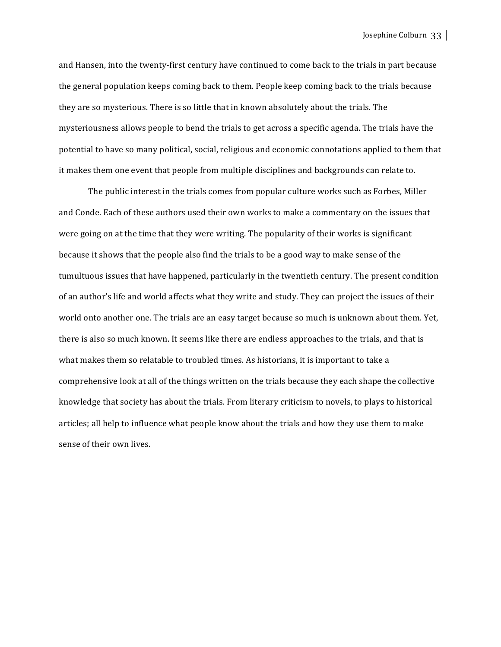Josephine Colburn 33

and Hansen, into the twenty-first century have continued to come back to the trials in part because the general population keeps coming back to them. People keep coming back to the trials because they are so mysterious. There is so little that in known absolutely about the trials. The mysteriousness allows people to bend the trials to get across a specific agenda. The trials have the potential to have so many political, social, religious and economic connotations applied to them that it makes them one event that people from multiple disciplines and backgrounds can relate to.

The public interest in the trials comes from popular culture works such as Forbes, Miller and Conde. Each of these authors used their own works to make a commentary on the issues that were going on at the time that they were writing. The popularity of their works is significant because it shows that the people also find the trials to be a good way to make sense of the tumultuous issues that have happened, particularly in the twentieth century. The present condition of an author's life and world affects what they write and study. They can project the issues of their world onto another one. The trials are an easy target because so much is unknown about them. Yet, there is also so much known. It seems like there are endless approaches to the trials, and that is what makes them so relatable to troubled times. As historians, it is important to take a comprehensive look at all of the things written on the trials because they each shape the collective knowledge that society has about the trials. From literary criticism to novels, to plays to historical articles; all help to influence what people know about the trials and how they use them to make sense of their own lives.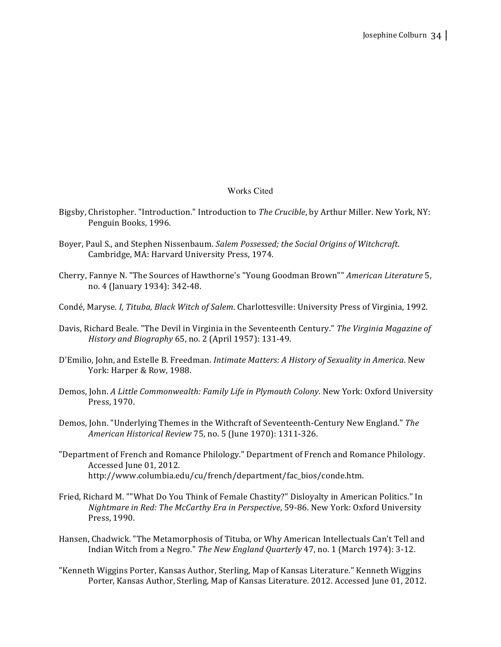## Works Cited

- Bigsby, Christopher. "Introduction." Introduction to *The Crucible*, by Arthur Miller. New York, NY: Penguin Books, 1996.
- Boyer, Paul S., and Stephen Nissenbaum. *Salem Possessed; the Social Origins of Witchcraft.* Cambridge, MA: Harvard University Press, 1974.
- Cherry, Fannye N. "The Sources of Hawthorne's "Young Goodman Brown"" *American Literature* 5, no. 4 (January 1934): 342-48.
- Condé, Maryse. *I, Tituba, Black Witch of Salem*. Charlottesville: University Press of Virginia, 1992.
- Davis, Richard Beale. "The Devil in Virginia in the Seventeenth Century." *The Virginia Magazine of History and Biography* 65, no. 2 (April 1957): 131-49.
- D'Emilio, John, and Estelle B. Freedman. *Intimate Matters: A History of Sexuality in America*. New York: Harper & Row, 1988.
- Demos, John. *A Little Commonwealth: Family Life in Plymouth Colony*. New York: Oxford University Press, 1970.
- Demos, John. "Underlying Themes in the Withcraft of Seventeenth-Century New England." The *American Historical Review* 75, no. 5 (June 1970): 1311-326.
- "Department of French and Romance Philology." Department of French and Romance Philology. Accessed June 01, 2012. http://www.columbia.edu/cu/french/department/fac\_bios/conde.htm.
- Fried, Richard M. ""What Do You Think of Female Chastity?" Disloyalty in American Politics." In *Nightmare in Red: The McCarthy Era in Perspective*, 59-86. New York: Oxford University Press, 1990.
- Hansen, Chadwick. "The Metamorphosis of Tituba, or Why American Intellectuals Can't Tell and Indian Witch from a Negro." *The New England Quarterly* 47, no. 1 (March 1974): 3-12.
- "Kenneth Wiggins Porter, Kansas Author, Sterling, Map of Kansas Literature." Kenneth Wiggins Porter, Kansas Author, Sterling, Map of Kansas Literature. 2012. Accessed June 01, 2012.